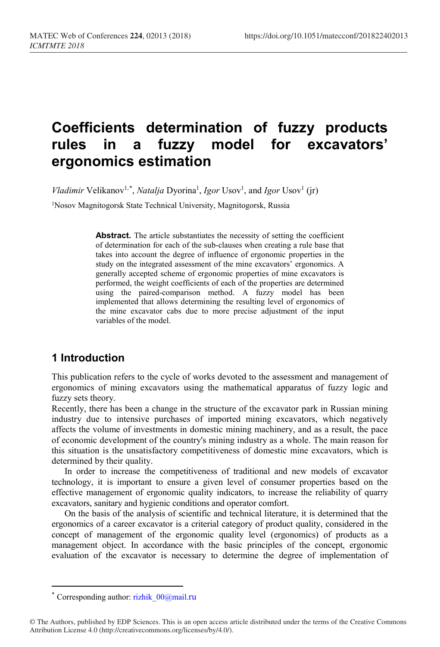# **Coefficients determination of fuzzy products rules in a fuzzy model for excavators' ergonomics estimation**

*Vladimir* Velikanov<sup>1,[\\*](#page-0-0)</sup>, *Natalja* Dyorina<sup>1</sup>, *Igor* Usov<sup>1</sup>, and *Igor* Usov<sup>1</sup> (jr)

1Nosov Magnitogorsk State Technical University, Magnitogorsk, Russia

Abstract. The article substantiates the necessity of setting the coefficient of determination for each of the sub-clauses when creating a rule base that takes into account the degree of influence of ergonomic properties in the study on the integrated assessment of the mine excavators' ergonomics. A generally accepted scheme of ergonomic properties of mine excavators is performed, the weight coefficients of each of the properties are determined using the paired-comparison method. A fuzzy model has been implemented that allows determining the resulting level of ergonomics of the mine excavator cabs due to more precise adjustment of the input variables of the model.

#### **1 Introduction**

This publication refers to the cycle of works devoted to the assessment and management of ergonomics of mining excavators using the mathematical apparatus of fuzzy logic and fuzzy sets theory.

Recently, there has been a change in the structure of the excavator park in Russian mining industry due to intensive purchases of imported mining excavators, which negatively affects the volume of investments in domestic mining machinery, and as a result, the pace of economic development of the country's mining industry as a whole. The main reason for this situation is the unsatisfactory competitiveness of domestic mine excavators, which is determined by their quality.

In order to increase the competitiveness of traditional and new models of excavator technology, it is important to ensure a given level of consumer properties based on the effective management of ergonomic quality indicators, to increase the reliability of quarry excavators, sanitary and hygienic conditions and operator comfort.

On the basis of the analysis of scientific and technical literature, it is determined that the ergonomics of a career excavator is a criterial category of product quality, considered in the concept of management of the ergonomic quality level (ergonomics) of products as a management object. In accordance with the basic principles of the concept, ergonomic evaluation of the excavator is necessary to determine the degree of implementation of

 $\overline{a}$ 

Corresponding author: rizhik 00@mail.ru

<span id="page-0-0"></span><sup>©</sup> The Authors, published by EDP Sciences. This is an open access article distributed under the terms of the Creative Commons Attribution License 4.0 (http://creativecommons.org/licenses/by/4.0/).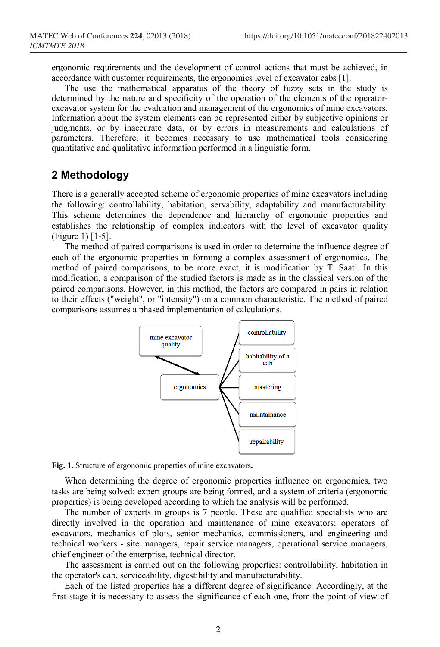ergonomic requirements and the development of control actions that must be achieved, in accordance with customer requirements, the ergonomics level of excavator cabs [1].

The use the mathematical apparatus of the theory of fuzzy sets in the study is determined by the nature and specificity of the operation of the elements of the operatorexcavator system for the evaluation and management of the ergonomics of mine excavators. Information about the system elements can be represented either by subjective opinions or judgments, or by inaccurate data, or by errors in measurements and calculations of parameters. Therefore, it becomes necessary to use mathematical tools considering quantitative and qualitative information performed in a linguistic form.

#### **2 Methodology**

There is a generally accepted scheme of ergonomic properties of mine excavators including the following: controllability, habitation, servability, adaptability and manufacturability. This scheme determines the dependence and hierarchy of ergonomic properties and establishes the relationship of complex indicators with the level of excavator quality (Figure 1) [1-5].

The method of paired comparisons is used in order to determine the influence degree of each of the ergonomic properties in forming a complex assessment of ergonomics. The method of paired comparisons, to be more exact, it is modification by T. Saati. In this modification, a comparison of the studied factors is made as in the classical version of the paired comparisons. However, in this method, the factors are compared in pairs in relation to their effects ("weight", or "intensity") on a common characteristic. The method of paired comparisons assumes a phased implementation of calculations.





When determining the degree of ergonomic properties influence on ergonomics, two tasks are being solved: expert groups are being formed, and a system of criteria (ergonomic properties) is being developed according to which the analysis will be performed.

The number of experts in groups is 7 people. These are qualified specialists who are directly involved in the operation and maintenance of mine excavators: operators of excavators, mechanics of plots, senior mechanics, commissioners, and engineering and technical workers - site managers, repair service managers, operational service managers, chief engineer of the enterprise, technical director.

The assessment is carried out on the following properties: controllability, habitation in the operator's cab, serviceability, digestibility and manufacturability.

Each of the listed properties has a different degree of significance. Accordingly, at the first stage it is necessary to assess the significance of each one, from the point of view of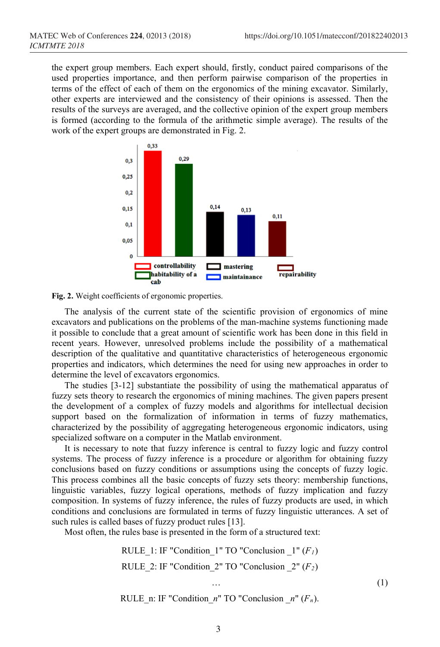the expert group members. Each expert should, firstly, conduct paired comparisons of the used properties importance, and then perform pairwise comparison of the properties in terms of the effect of each of them on the ergonomics of the mining excavator. Similarly, other experts are interviewed and the consistency of their opinions is assessed. Then the results of the surveys are averaged, and the collective opinion of the expert group members is formed (according to the formula of the arithmetic simple average). The results of the work of the expert groups are demonstrated in Fig. 2.





The analysis of the current state of the scientific provision of ergonomics of mine excavators and publications on the problems of the man-machine systems functioning made it possible to conclude that a great amount of scientific work has been done in this field in recent years. However, unresolved problems include the possibility of a mathematical description of the qualitative and quantitative characteristics of heterogeneous ergonomic properties and indicators, which determines the need for using new approaches in order to determine the level of excavators ergonomics.

The studies [3-12] substantiate the possibility of using the mathematical apparatus of fuzzy sets theory to research the ergonomics of mining machines. The given papers present the development of a complex of fuzzy models and algorithms for intellectual decision support based on the formalization of information in terms of fuzzy mathematics, characterized by the possibility of aggregating heterogeneous ergonomic indicators, using specialized software on a computer in the Matlab environment.

It is necessary to note that fuzzy inference is central to fuzzy logic and fuzzy control systems. The process of fuzzy inference is a procedure or algorithm for obtaining fuzzy conclusions based on fuzzy conditions or assumptions using the concepts of fuzzy logic. This process combines all the basic concepts of fuzzy sets theory: membership functions, linguistic variables, fuzzy logical operations, methods of fuzzy implication and fuzzy composition. In systems of fuzzy inference, the rules of fuzzy products are used, in which conditions and conclusions are formulated in terms of fuzzy linguistic utterances. A set of such rules is called bases of fuzzy product rules [13].

Most often, the rules base is presented in the form of a structured text:

RULE  $1: IF$  "Condition  $1"$  TO "Conclusion  $1" (F<sub>1</sub>)$ RULE 2: IF "Condition  $2$ " TO "Conclusion  $2" (F_2)$  $\cdots$  (1)

RULE n: IF "Condition  $n$ " TO "Conclusion  $n''$  ( $F_n$ ).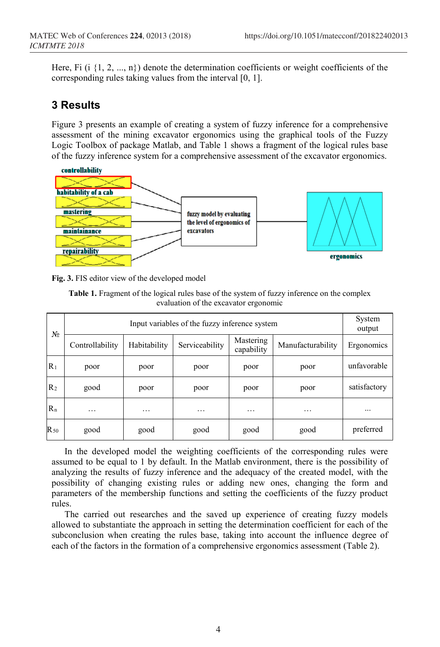Here, Fi (i  $\{1, 2, ..., n\}$ ) denote the determination coefficients or weight coefficients of the corresponding rules taking values from the interval [0, 1].

#### **3 Results**

Figure 3 presents an example of creating a system of fuzzy inference for a comprehensive assessment of the mining excavator ergonomics using the graphical tools of the Fuzzy Logic Toolbox of package Matlab, and Table 1 shows a fragment of the logical rules base of the fuzzy inference system for a comprehensive assessment of the excavator ergonomics.



**Fig. 3.** FIS editor view of the developed model

| <b>Table 1.</b> Fragment of the logical rules base of the system of fuzzy inference on the complex |
|----------------------------------------------------------------------------------------------------|
| evaluation of the excavator ergonomic                                                              |

| No             | Input variables of the fuzzy inference system |              |                |                         |                   | System<br>output |
|----------------|-----------------------------------------------|--------------|----------------|-------------------------|-------------------|------------------|
|                | Controllability                               | Habitability | Serviceability | Mastering<br>capability | Manufacturability | Ergonomics       |
| $R_1$          | poor                                          | poor         | poor           | poor                    | poor              | unfavorable      |
| R <sub>2</sub> | good                                          | poor         | poor           | poor                    | poor              | satisfactory     |
| $R_n$          | $\cdots$                                      | $\cdots$     | $\cdots$       | $\cdots$                | $\cdots$          |                  |
| $R_{50}$       | good                                          | good         | good           | good                    | good              | preferred        |

In the developed model the weighting coefficients of the corresponding rules were assumed to be equal to 1 by default. In the Matlab environment, there is the possibility of analyzing the results of fuzzy inference and the adequacy of the created model, with the possibility of changing existing rules or adding new ones, changing the form and parameters of the membership functions and setting the coefficients of the fuzzy product rules.

The carried out researches and the saved up experience of creating fuzzy models allowed to substantiate the approach in setting the determination coefficient for each of the subconclusion when creating the rules base, taking into account the influence degree of each of the factors in the formation of a comprehensive ergonomics assessment (Table 2).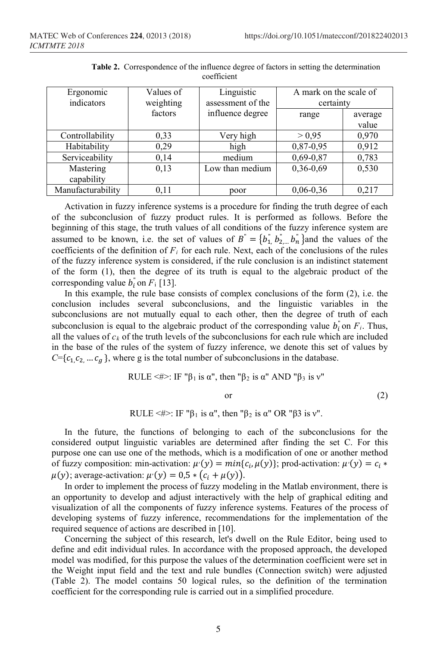| Ergonomic<br>indicators | Values of<br>weighting | Linguistic<br>assessment of the | A mark on the scale of<br>certainty |                  |
|-------------------------|------------------------|---------------------------------|-------------------------------------|------------------|
|                         | factors                | influence degree                | range                               | average<br>value |
|                         |                        |                                 |                                     |                  |
| Controllability         | 0.33                   | Very high                       | > 0.95                              | 0,970            |
| Habitability            | 0,29                   | high                            | 0,87-0,95                           | 0,912            |
| Serviceability          | 0,14                   | medium                          | $0,69-0,87$                         | 0,783            |
| Mastering               | 0,13                   | Low than medium                 | $0,36-0,69$                         | 0,530            |
| capability              |                        |                                 |                                     |                  |
| Manufacturability       | 0.11                   | poor                            | $0,06-0,36$                         | 0.217            |

**Table 2.** Correspondence of the influence degree of factors in setting the determination coefficient

Activation in fuzzy inference systems is a procedure for finding the truth degree of each of the subconclusion of fuzzy product rules. It is performed as follows. Before the beginning of this stage, the truth values of all conditions of the fuzzy inference system are assumed to be known, i.e. the set of values of  $B = \{b_1, b_2, b_n\}$  and the values of the coefficients of the definition of  $F_i$  for each rule. Next, each of the conclusions of the rules of the fuzzy inference system is considered, if the rule conclusion is an indistinct statement of the form (1), then the degree of its truth is equal to the algebraic product of the corresponding value  $b_i$  on  $F_i$  [13].

In this example, the rule base consists of complex conclusions of the form (2), i.e. the conclusion includes several subconclusions, and the linguistic variables in the subconclusions are not mutually equal to each other, then the degree of truth of each subconclusion is equal to the algebraic product of the corresponding value  $b_i$  on  $F_i$ . Thus, all the values of  $c_k$  of the truth levels of the subconclusions for each rule which are included in the base of the rules of the system of fuzzy inference, we denote this set of values by  $C = \{c_1, c_2, \dots, c_g\}$ , where g is the total number of subconclusions in the database.

RULE 
$$
\langle # \rangle
$$
: IF " $\beta_1$  is  $\alpha$ ", then " $\beta_2$  is  $\alpha$ " AND " $\beta_3$  is  $v$ "

or  $(2)$ 

RULE <#>: IF " $\beta_1$  is  $\alpha$ ", then " $\beta_2$  is  $\alpha$ " OR " $\beta_3$  is v".

In the future, the functions of belonging to each of the subconclusions for the considered output linguistic variables are determined after finding the set C. For this purpose one can use one of the methods, which is a modification of one or another method of fuzzy composition: min-activation:  $\mu'(y) = min\{c_i, \mu(y)\}$ ; prod-activation:  $\mu'(y) = c_i *$  $\mu(y)$ ; average-activation:  $\mu'(y) = 0.5 * (c_i + \mu(y))$ .

In order to implement the process of fuzzy modeling in the Matlab environment, there is an opportunity to develop and adjust interactively with the help of graphical editing and visualization of all the components of fuzzy inference systems. Features of the process of developing systems of fuzzy inference, recommendations for the implementation of the required sequence of actions are described in [10].

Concerning the subject of this research, let's dwell on the Rule Editor, being used to define and edit individual rules. In accordance with the proposed approach, the developed model was modified, for this purpose the values of the determination coefficient were set in the Weight input field and the text and rule bundles (Connection switch) were adjusted (Table 2). The model contains 50 logical rules, so the definition of the termination coefficient for the corresponding rule is carried out in a simplified procedure.